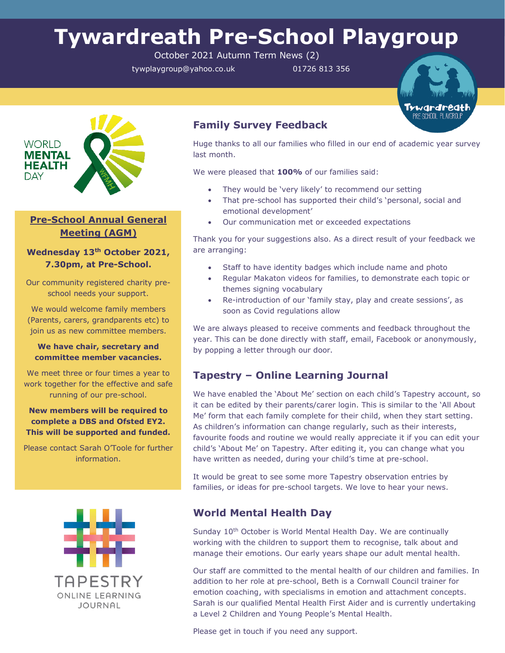# **Tywardreath Pre-School Playgroup**

October 2021 Autumn Term News (2)

tywplaygroup@yahoo.co.uk 01726 813 356





## **Pre-School Annual General Meeting (AGM)**

**Wednesday 13th October 2021, 7.30pm, at Pre-School.**

Our community registered charity preschool needs your support.

We would welcome family members (Parents, carers, grandparents etc) to join us as new committee members.

#### **We have chair, secretary and committee member vacancies.**

We meet three or four times a year to work together for the effective and safe running of our pre-school.

### **New members will be required to complete a DBS and Ofsted EY2. This will be supported and funded.**

Please contact Sarah O'Toole for further information.



## **Family Survey Feedback**

Huge thanks to all our families who filled in our end of academic year survey last month.

We were pleased that **100%** of our families said:

- They would be 'very likely' to recommend our setting
- That pre-school has supported their child's 'personal, social and emotional development'
- Our communication met or exceeded expectations

Thank you for your suggestions also. As a direct result of your feedback we are arranging:

- Staff to have identity badges which include name and photo
- Regular Makaton videos for families, to demonstrate each topic or themes signing vocabulary
- Re-introduction of our 'family stay, play and create sessions', as soon as Covid regulations allow

We are always pleased to receive comments and feedback throughout the year. This can be done directly with staff, email, Facebook or anonymously, by popping a letter through our door.

## **Tapestry – Online Learning Journal**

We have enabled the 'About Me' section on each child's Tapestry account, so it can be edited by their parents/carer login. This is similar to the 'All About Me' form that each family complete for their child, when they start setting. As children's information can change regularly, such as their interests, favourite foods and routine we would really appreciate it if you can edit your child's 'About Me' on Tapestry. After editing it, you can change what you have written as needed, during your child's time at pre-school.

It would be great to see some more Tapestry observation entries by families, or ideas for pre-school targets. We love to hear your news.

## **World Mental Health Day**

Sunday 10<sup>th</sup> October is World Mental Health Day. We are continually working with the children to support them to recognise, talk about and manage their emotions. Our early years shape our adult mental health.

Our staff are committed to the mental health of our children and families. In addition to her role at pre-school, Beth is a Cornwall Council trainer for emotion coaching, with specialisms in emotion and attachment concepts. Sarah is our qualified Mental Health First Aider and is currently undertaking a Level 2 Children and Young People's Mental Health.

Please get in touch if you need any support.